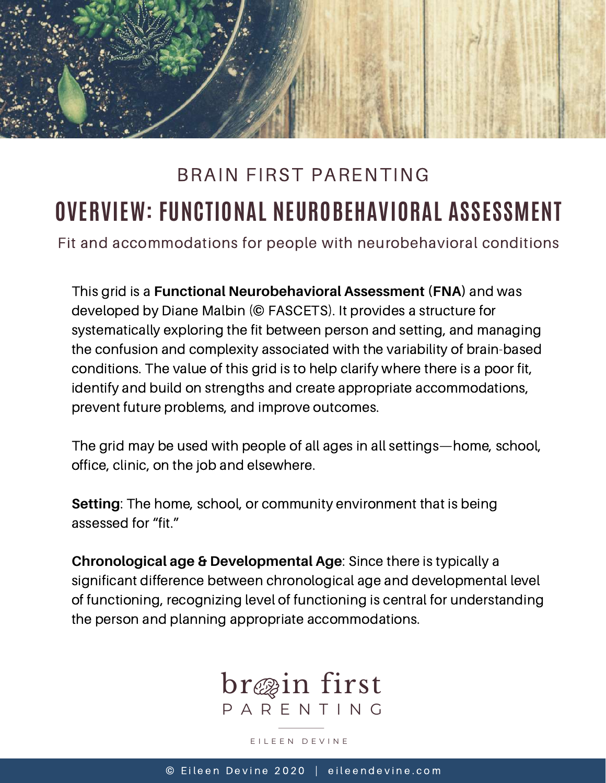

## **OVERVIEW: FUNCTIONAL NEUROBEHAVIORAL ASSESSMENT** BRAIN FIRST PARENTING

Fit and accommodations for people with neurobehavioral conditions

This grid is a **Functional Neurobehavioral Assessment (FNA)** and was developed by Diane Malbin (© FASCETS). It provides a structure for systematically exploring the fit between person and setting, and managing the confusion and complexity associated with the variability of brain-based conditions. The value of this grid is to help clarify where there is a poor fit, identify and build on strengths and create appropriate accommodations, prevent future problems, and improve outcomes.

The grid may be used with people of all ages in all settings—home, school, office, clinic, on the job and elsewhere.

**Setting**: The home, school, or community environment that is being assessed for "fit."

**Chronological age & Developmental Age**: Since there is typically a significant difference between chronological age and developmental level of functioning, recognizing level of functioning is central for understanding the person and planning appropriate accommodations.



E I L E E N D E V I N E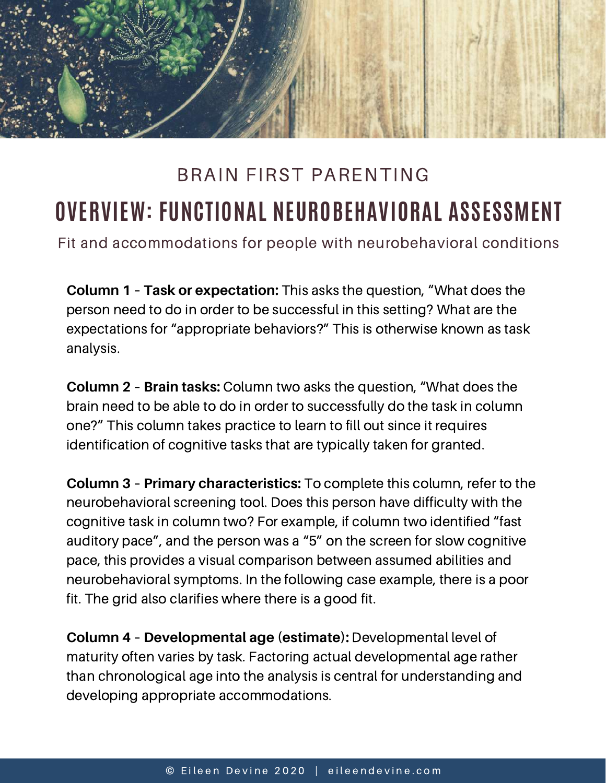

## **OVERVIEW: FUNCTIONAL NEUROBEHAVIORAL ASSESSMENT** BRAIN FIRST PARENTING

Fit and accommodations for people with neurobehavioral conditions

**Column 1 – Task or expectation:** This asks the question, "What does the person need to do in order to be successful in this setting? What are the expectations for "appropriate behaviors?" This is otherwise known as task analysis.

**Column 2 – Brain tasks:** Column two asks the question, "What does the brain need to be able to do in order to successfully do the task in column one?" This column takes practice to learn to fill out since it requires identification of cognitive tasks that are typically taken for granted.

**Column 3 – Primary characteristics:** To complete this column, refer to the neurobehavioral screening tool. Does this person have difficulty with the cognitive task in column two? For example, if column two identified "fast auditory pace", and the person was a "5" on the screen for slow cognitive pace, this provides a visual comparison between assumed abilities and neurobehavioral symptoms. In the following case example, there is a poor fit. The grid also clarifies where there is a good fit.

**Column 4 – Developmental age (estimate):** Developmental level of maturity often varies by task. Factoring actual developmental age rather than chronological age into the analysis is central for understanding and developing appropriate accommodations.